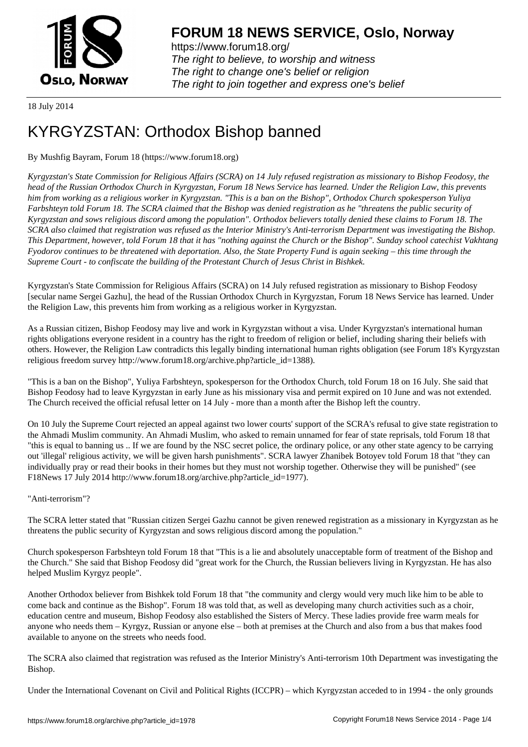

https://www.forum18.org/ The right to believe, to worship and witness The right to change one's belief or religion [The right to join together a](https://www.forum18.org/)nd express one's belief

18 July 2014

# [KYRGYZSTAN](https://www.forum18.org): Orthodox Bishop banned

# By Mushfig Bayram, Forum 18 (https://www.forum18.org)

*Kyrgyzstan's State Commission for Religious Affairs (SCRA) on 14 July refused registration as missionary to Bishop Feodosy, the head of the Russian Orthodox Church in Kyrgyzstan, Forum 18 News Service has learned. Under the Religion Law, this prevents him from working as a religious worker in Kyrgyzstan. "This is a ban on the Bishop", Orthodox Church spokesperson Yuliya Farbshteyn told Forum 18. The SCRA claimed that the Bishop was denied registration as he "threatens the public security of Kyrgyzstan and sows religious discord among the population". Orthodox believers totally denied these claims to Forum 18. The SCRA also claimed that registration was refused as the Interior Ministry's Anti-terrorism Department was investigating the Bishop. This Department, however, told Forum 18 that it has "nothing against the Church or the Bishop". Sunday school catechist Vakhtang Fyodorov continues to be threatened with deportation. Also, the State Property Fund is again seeking – this time through the Supreme Court - to confiscate the building of the Protestant Church of Jesus Christ in Bishkek.*

Kyrgyzstan's State Commission for Religious Affairs (SCRA) on 14 July refused registration as missionary to Bishop Feodosy [secular name Sergei Gazhu], the head of the Russian Orthodox Church in Kyrgyzstan, Forum 18 News Service has learned. Under the Religion Law, this prevents him from working as a religious worker in Kyrgyzstan.

As a Russian citizen, Bishop Feodosy may live and work in Kyrgyzstan without a visa. Under Kyrgyzstan's international human rights obligations everyone resident in a country has the right to freedom of religion or belief, including sharing their beliefs with others. However, the Religion Law contradicts this legally binding international human rights obligation (see Forum 18's Kyrgyzstan religious freedom survey http://www.forum18.org/archive.php?article\_id=1388).

"This is a ban on the Bishop", Yuliya Farbshteyn, spokesperson for the Orthodox Church, told Forum 18 on 16 July. She said that Bishop Feodosy had to leave Kyrgyzstan in early June as his missionary visa and permit expired on 10 June and was not extended. The Church received the official refusal letter on 14 July - more than a month after the Bishop left the country.

On 10 July the Supreme Court rejected an appeal against two lower courts' support of the SCRA's refusal to give state registration to the Ahmadi Muslim community. An Ahmadi Muslim, who asked to remain unnamed for fear of state reprisals, told Forum 18 that "this is equal to banning us .. If we are found by the NSC secret police, the ordinary police, or any other state agency to be carrying out 'illegal' religious activity, we will be given harsh punishments". SCRA lawyer Zhanibek Botoyev told Forum 18 that "they can individually pray or read their books in their homes but they must not worship together. Otherwise they will be punished" (see F18News 17 July 2014 http://www.forum18.org/archive.php?article\_id=1977).

## "Anti-terrorism"?

The SCRA letter stated that "Russian citizen Sergei Gazhu cannot be given renewed registration as a missionary in Kyrgyzstan as he threatens the public security of Kyrgyzstan and sows religious discord among the population."

Church spokesperson Farbshteyn told Forum 18 that "This is a lie and absolutely unacceptable form of treatment of the Bishop and the Church." She said that Bishop Feodosy did "great work for the Church, the Russian believers living in Kyrgyzstan. He has also helped Muslim Kyrgyz people".

Another Orthodox believer from Bishkek told Forum 18 that "the community and clergy would very much like him to be able to come back and continue as the Bishop". Forum 18 was told that, as well as developing many church activities such as a choir, education centre and museum, Bishop Feodosy also established the Sisters of Mercy. These ladies provide free warm meals for anyone who needs them – Kyrgyz, Russian or anyone else – both at premises at the Church and also from a bus that makes food available to anyone on the streets who needs food.

The SCRA also claimed that registration was refused as the Interior Ministry's Anti-terrorism 10th Department was investigating the Bishop.

Under the International Covenant on Civil and Political Rights (ICCPR) – which Kyrgyzstan acceded to in 1994 - the only grounds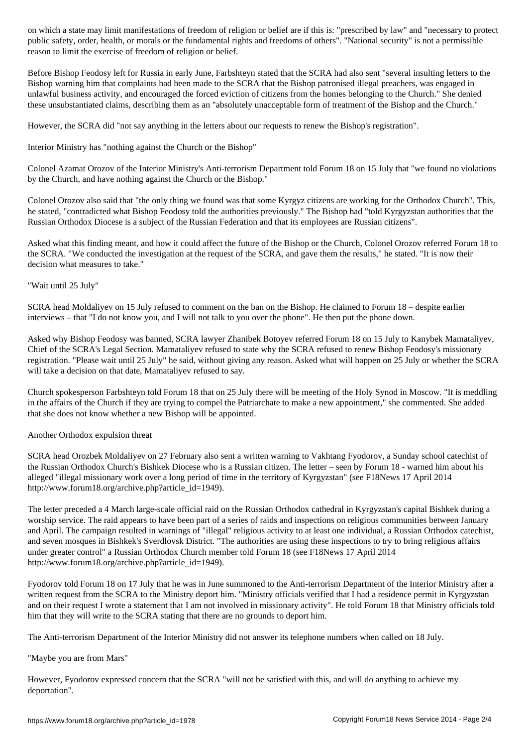public safety, order, health, or morals or the fundamental rights and freedoms of others". "National security" is not a permissible reason to limit the exercise of freedom of religion or belief.

Before Bishop Feodosy left for Russia in early June, Farbshteyn stated that the SCRA had also sent "several insulting letters to the Bishop warning him that complaints had been made to the SCRA that the Bishop patronised illegal preachers, was engaged in unlawful business activity, and encouraged the forced eviction of citizens from the homes belonging to the Church." She denied these unsubstantiated claims, describing them as an "absolutely unacceptable form of treatment of the Bishop and the Church."

However, the SCRA did "not say anything in the letters about our requests to renew the Bishop's registration".

Interior Ministry has "nothing against the Church or the Bishop"

Colonel Azamat Orozov of the Interior Ministry's Anti-terrorism Department told Forum 18 on 15 July that "we found no violations by the Church, and have nothing against the Church or the Bishop."

Colonel Orozov also said that "the only thing we found was that some Kyrgyz citizens are working for the Orthodox Church". This, he stated, "contradicted what Bishop Feodosy told the authorities previously." The Bishop had "told Kyrgyzstan authorities that the Russian Orthodox Diocese is a subject of the Russian Federation and that its employees are Russian citizens".

Asked what this finding meant, and how it could affect the future of the Bishop or the Church, Colonel Orozov referred Forum 18 to the SCRA. "We conducted the investigation at the request of the SCRA, and gave them the results," he stated. "It is now their decision what measures to take."

### "Wait until 25 July"

SCRA head Moldaliyev on 15 July refused to comment on the ban on the Bishop. He claimed to Forum 18 – despite earlier interviews – that "I do not know you, and I will not talk to you over the phone". He then put the phone down.

Asked why Bishop Feodosy was banned, SCRA lawyer Zhanibek Botoyev referred Forum 18 on 15 July to Kanybek Mamataliyev, Chief of the SCRA's Legal Section. Mamataliyev refused to state why the SCRA refused to renew Bishop Feodosy's missionary registration. "Please wait until 25 July" he said, without giving any reason. Asked what will happen on 25 July or whether the SCRA will take a decision on that date, Mamataliyev refused to say.

Church spokesperson Farbshteyn told Forum 18 that on 25 July there will be meeting of the Holy Synod in Moscow. "It is meddling in the affairs of the Church if they are trying to compel the Patriarchate to make a new appointment," she commented. She added that she does not know whether a new Bishop will be appointed.

#### Another Orthodox expulsion threat

SCRA head Orozbek Moldaliyev on 27 February also sent a written warning to Vakhtang Fyodorov, a Sunday school catechist of the Russian Orthodox Church's Bishkek Diocese who is a Russian citizen. The letter – seen by Forum 18 - warned him about his alleged "illegal missionary work over a long period of time in the territory of Kyrgyzstan" (see F18News 17 April 2014 http://www.forum18.org/archive.php?article\_id=1949).

The letter preceded a 4 March large-scale official raid on the Russian Orthodox cathedral in Kyrgyzstan's capital Bishkek during a worship service. The raid appears to have been part of a series of raids and inspections on religious communities between January and April. The campaign resulted in warnings of "illegal" religious activity to at least one individual, a Russian Orthodox catechist, and seven mosques in Bishkek's Sverdlovsk District. "The authorities are using these inspections to try to bring religious affairs under greater control" a Russian Orthodox Church member told Forum 18 (see F18News 17 April 2014 http://www.forum18.org/archive.php?article\_id=1949).

Fyodorov told Forum 18 on 17 July that he was in June summoned to the Anti-terrorism Department of the Interior Ministry after a written request from the SCRA to the Ministry deport him. "Ministry officials verified that I had a residence permit in Kyrgyzstan and on their request I wrote a statement that I am not involved in missionary activity". He told Forum 18 that Ministry officials told him that they will write to the SCRA stating that there are no grounds to deport him.

The Anti-terrorism Department of the Interior Ministry did not answer its telephone numbers when called on 18 July.

#### "Maybe you are from Mars"

However, Fyodorov expressed concern that the SCRA "will not be satisfied with this, and will do anything to achieve my deportation".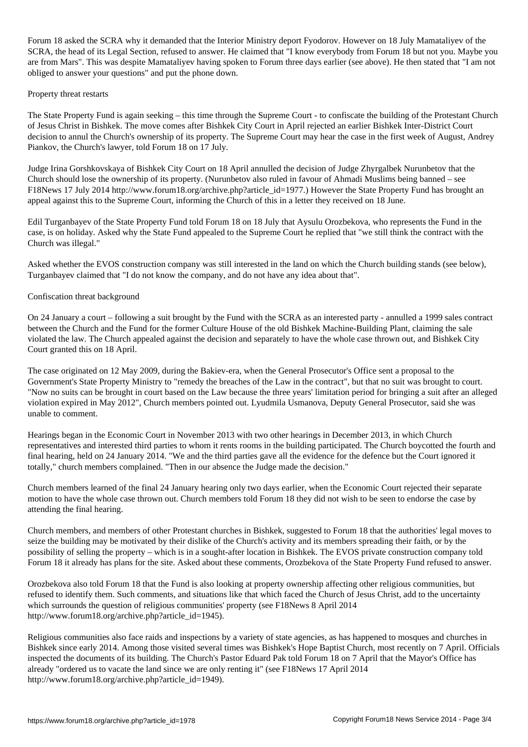Forum 18 asked the SCRA why it demanded that the Interior Ministry deport Fyodorov. However on 18 July Mamataliyev of the SCRA, the head of its Legal Section, refused to answer. He claimed that "I know everybody from Forum 18 but not you. Maybe you are from Mars". This was despite Mamataliyev having spoken to Forum three days earlier (see above). He then stated that "I am not obliged to answer your questions" and put the phone down.

#### Property threat restarts

The State Property Fund is again seeking – this time through the Supreme Court - to confiscate the building of the Protestant Church of Jesus Christ in Bishkek. The move comes after Bishkek City Court in April rejected an earlier Bishkek Inter-District Court decision to annul the Church's ownership of its property. The Supreme Court may hear the case in the first week of August, Andrey Piankov, the Church's lawyer, told Forum 18 on 17 July.

Judge Irina Gorshkovskaya of Bishkek City Court on 18 April annulled the decision of Judge Zhyrgalbek Nurunbetov that the Church should lose the ownership of its property. (Nurunbetov also ruled in favour of Ahmadi Muslims being banned – see F18News 17 July 2014 http://www.forum18.org/archive.php?article\_id=1977.) However the State Property Fund has brought an appeal against this to the Supreme Court, informing the Church of this in a letter they received on 18 June.

Edil Turganbayev of the State Property Fund told Forum 18 on 18 July that Aysulu Orozbekova, who represents the Fund in the case, is on holiday. Asked why the State Fund appealed to the Supreme Court he replied that "we still think the contract with the Church was illegal."

Asked whether the EVOS construction company was still interested in the land on which the Church building stands (see below), Turganbayev claimed that "I do not know the company, and do not have any idea about that".

#### Confiscation threat background

On 24 January a court – following a suit brought by the Fund with the SCRA as an interested party - annulled a 1999 sales contract between the Church and the Fund for the former Culture House of the old Bishkek Machine-Building Plant, claiming the sale violated the law. The Church appealed against the decision and separately to have the whole case thrown out, and Bishkek City Court granted this on 18 April.

The case originated on 12 May 2009, during the Bakiev-era, when the General Prosecutor's Office sent a proposal to the Government's State Property Ministry to "remedy the breaches of the Law in the contract", but that no suit was brought to court. "Now no suits can be brought in court based on the Law because the three years' limitation period for bringing a suit after an alleged violation expired in May 2012", Church members pointed out. Lyudmila Usmanova, Deputy General Prosecutor, said she was unable to comment.

Hearings began in the Economic Court in November 2013 with two other hearings in December 2013, in which Church representatives and interested third parties to whom it rents rooms in the building participated. The Church boycotted the fourth and final hearing, held on 24 January 2014. "We and the third parties gave all the evidence for the defence but the Court ignored it totally," church members complained. "Then in our absence the Judge made the decision."

Church members learned of the final 24 January hearing only two days earlier, when the Economic Court rejected their separate motion to have the whole case thrown out. Church members told Forum 18 they did not wish to be seen to endorse the case by attending the final hearing.

Church members, and members of other Protestant churches in Bishkek, suggested to Forum 18 that the authorities' legal moves to seize the building may be motivated by their dislike of the Church's activity and its members spreading their faith, or by the possibility of selling the property – which is in a sought-after location in Bishkek. The EVOS private construction company told Forum 18 it already has plans for the site. Asked about these comments, Orozbekova of the State Property Fund refused to answer.

Orozbekova also told Forum 18 that the Fund is also looking at property ownership affecting other religious communities, but refused to identify them. Such comments, and situations like that which faced the Church of Jesus Christ, add to the uncertainty which surrounds the question of religious communities' property (see F18News 8 April 2014 http://www.forum18.org/archive.php?article\_id=1945).

Religious communities also face raids and inspections by a variety of state agencies, as has happened to mosques and churches in Bishkek since early 2014. Among those visited several times was Bishkek's Hope Baptist Church, most recently on 7 April. Officials inspected the documents of its building. The Church's Pastor Eduard Pak told Forum 18 on 7 April that the Mayor's Office has already "ordered us to vacate the land since we are only renting it" (see F18News 17 April 2014 http://www.forum18.org/archive.php?article\_id=1949).